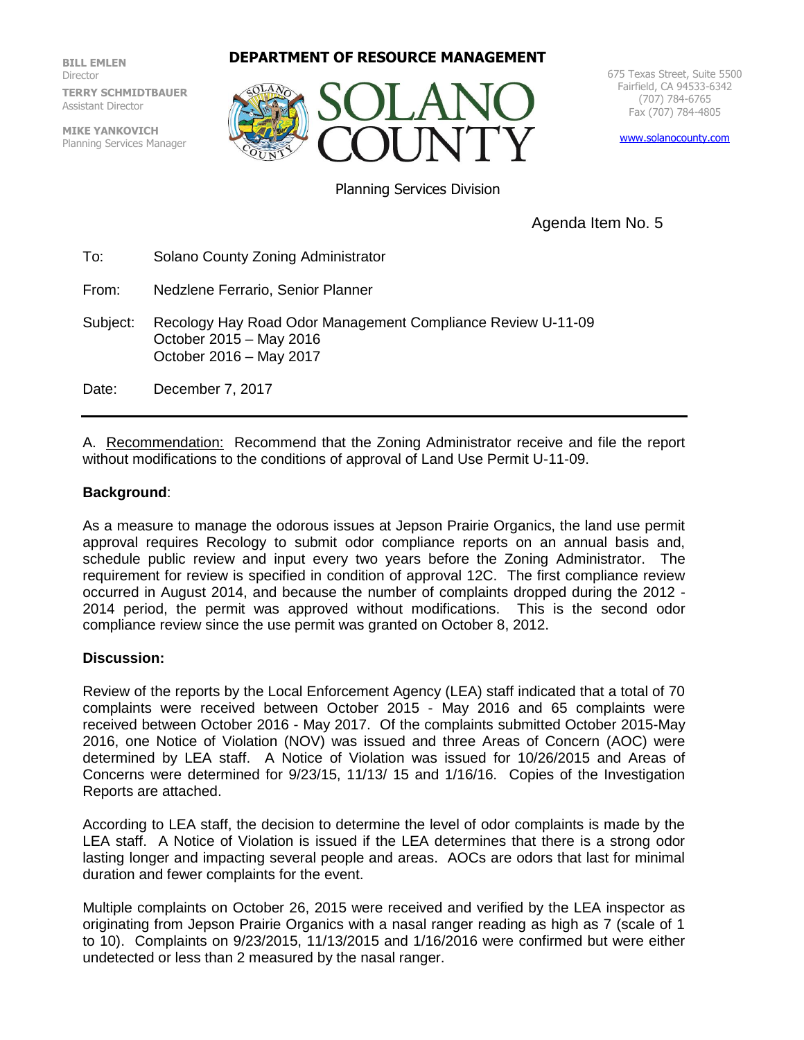**BILL EMLEN** Director **TERRY SCHMIDTBAUER** Assistant Director

**MIKE YANKOVICH** Planning Services Manager

## **DEPARTMENT OF RESOURCE MANAGEMENT**



675 Texas Street, Suite 5500 Fairfield, CA 94533-6342 (707) 784-6765 Fax (707) 784-4805

[www.solanocounty.com](http://www.solanocounty.com/)

Planning Services Division

Agenda Item No. 5

To: Solano County Zoning Administrator

From: Nedzlene Ferrario, Senior Planner

Subject: Recology Hay Road Odor Management Compliance Review U-11-09 October 2015 – May 2016 October 2016 – May 2017

Date: December 7, 2017

A. Recommendation: Recommend that the Zoning Administrator receive and file the report without modifications to the conditions of approval of Land Use Permit U-11-09.

## **Background**:

As a measure to manage the odorous issues at Jepson Prairie Organics, the land use permit approval requires Recology to submit odor compliance reports on an annual basis and, schedule public review and input every two years before the Zoning Administrator. The requirement for review is specified in condition of approval 12C. The first compliance review occurred in August 2014, and because the number of complaints dropped during the 2012 - 2014 period, the permit was approved without modifications. This is the second odor compliance review since the use permit was granted on October 8, 2012.

## **Discussion:**

Review of the reports by the Local Enforcement Agency (LEA) staff indicated that a total of 70 complaints were received between October 2015 - May 2016 and 65 complaints were received between October 2016 - May 2017. Of the complaints submitted October 2015-May 2016, one Notice of Violation (NOV) was issued and three Areas of Concern (AOC) were determined by LEA staff. A Notice of Violation was issued for 10/26/2015 and Areas of Concerns were determined for 9/23/15, 11/13/ 15 and 1/16/16. Copies of the Investigation Reports are attached.

According to LEA staff, the decision to determine the level of odor complaints is made by the LEA staff. A Notice of Violation is issued if the LEA determines that there is a strong odor lasting longer and impacting several people and areas. AOCs are odors that last for minimal duration and fewer complaints for the event.

Multiple complaints on October 26, 2015 were received and verified by the LEA inspector as originating from Jepson Prairie Organics with a nasal ranger reading as high as 7 (scale of 1 to 10). Complaints on 9/23/2015, 11/13/2015 and 1/16/2016 were confirmed but were either undetected or less than 2 measured by the nasal ranger.